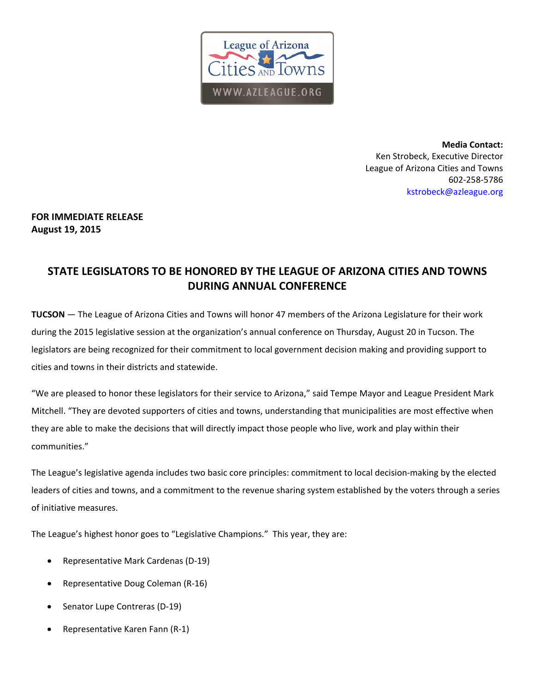

**Media Contact:** Ken Strobeck, Executive Director League of Arizona Cities and Towns 602‐258‐5786 kstrobeck@azleague.org

## **FOR IMMEDIATE RELEASE August 19, 2015**

## **STATE LEGISLATORS TO BE HONORED BY THE LEAGUE OF ARIZONA CITIES AND TOWNS DURING ANNUAL CONFERENCE**

**TUCSON** — The League of Arizona Cities and Towns will honor 47 members of the Arizona Legislature for their work during the 2015 legislative session at the organization's annual conference on Thursday, August 20 in Tucson. The legislators are being recognized for their commitment to local government decision making and providing support to cities and towns in their districts and statewide.

"We are pleased to honor these legislators for their service to Arizona," said Tempe Mayor and League President Mark Mitchell. "They are devoted supporters of cities and towns, understanding that municipalities are most effective when they are able to make the decisions that will directly impact those people who live, work and play within their communities."

The League's legislative agenda includes two basic core principles: commitment to local decision‐making by the elected leaders of cities and towns, and a commitment to the revenue sharing system established by the voters through a series of initiative measures.

The League's highest honor goes to "Legislative Champions." This year, they are:

- Representative Mark Cardenas (D‐19)
- Representative Doug Coleman (R‐16)
- Senator Lupe Contreras (D‐19)
- Representative Karen Fann (R‐1)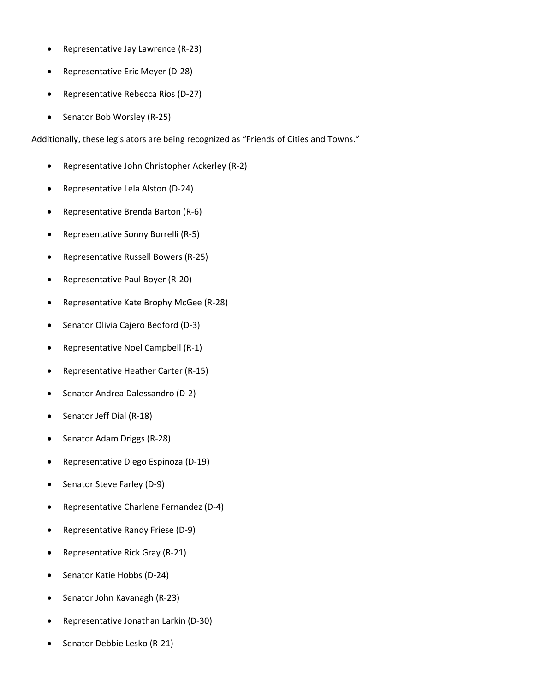- Representative Jay Lawrence (R‐23)
- Representative Eric Meyer (D‐28)
- Representative Rebecca Rios (D‐27)
- Senator Bob Worsley (R-25)

Additionally, these legislators are being recognized as "Friends of Cities and Towns."

- Representative John Christopher Ackerley (R-2)
- Representative Lela Alston (D‐24)
- Representative Brenda Barton (R‐6)
- Representative Sonny Borrelli (R‐5)
- Representative Russell Bowers (R‐25)
- Representative Paul Boyer (R‐20)
- Representative Kate Brophy McGee (R‐28)
- Senator Olivia Cajero Bedford (D‐3)
- Representative Noel Campbell (R‐1)
- Representative Heather Carter (R‐15)
- Senator Andrea Dalessandro (D‐2)
- Senator Jeff Dial (R‐18)
- Senator Adam Driggs (R‐28)
- Representative Diego Espinoza (D‐19)
- Senator Steve Farley (D‐9)
- Representative Charlene Fernandez (D‐4)
- Representative Randy Friese (D‐9)
- Representative Rick Gray (R‐21)
- Senator Katie Hobbs (D‐24)
- Senator John Kavanagh (R‐23)
- Representative Jonathan Larkin (D‐30)
- Senator Debbie Lesko (R‐21)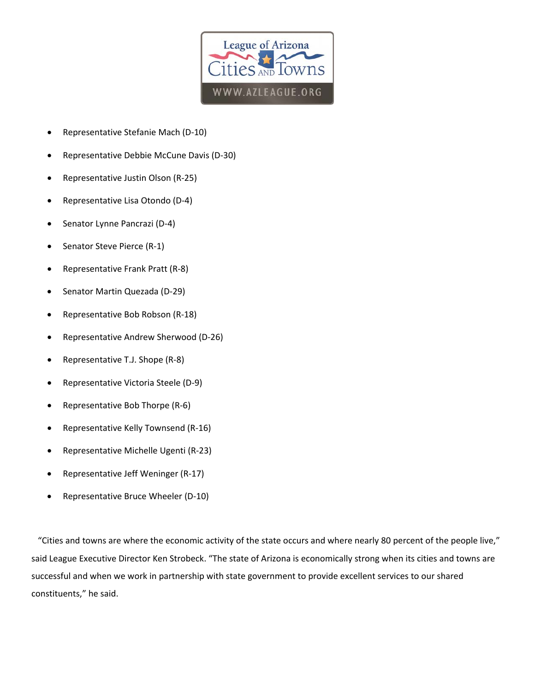

- Representative Stefanie Mach (D‐10)
- Representative Debbie McCune Davis (D‐30)
- Representative Justin Olson (R‐25)
- Representative Lisa Otondo (D‐4)
- Senator Lynne Pancrazi (D‐4)
- Senator Steve Pierce (R‐1)
- Representative Frank Pratt (R‐8)
- Senator Martin Quezada (D‐29)
- Representative Bob Robson (R‐18)
- Representative Andrew Sherwood (D‐26)
- Representative T.J. Shope (R‐8)
- Representative Victoria Steele (D‐9)
- Representative Bob Thorpe (R‐6)
- Representative Kelly Townsend (R‐16)
- Representative Michelle Ugenti (R‐23)
- Representative Jeff Weninger (R‐17)
- Representative Bruce Wheeler (D‐10)

 "Cities and towns are where the economic activity of the state occurs and where nearly 80 percent of the people live," said League Executive Director Ken Strobeck. "The state of Arizona is economically strong when its cities and towns are successful and when we work in partnership with state government to provide excellent services to our shared constituents," he said.